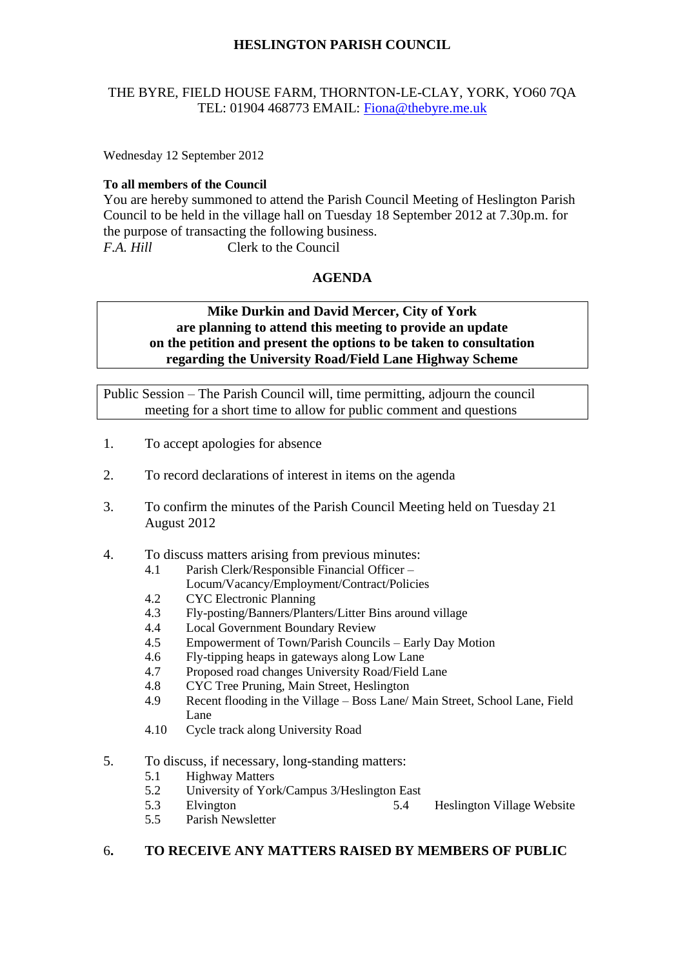# **HESLINGTON PARISH COUNCIL**

## THE BYRE, FIELD HOUSE FARM, THORNTON-LE-CLAY, YORK, YO60 7QA TEL: 01904 468773 EMAIL: [Fiona@thebyre.me.uk](mailto:Fiona@thebyre.me.uk)

Wednesday 12 September 2012

### **To all members of the Council**

You are hereby summoned to attend the Parish Council Meeting of Heslington Parish Council to be held in the village hall on Tuesday 18 September 2012 at 7.30p.m. for the purpose of transacting the following business. *F.A. Hill* Clerk to the Council

### **AGENDA**

## **Mike Durkin and David Mercer, City of York are planning to attend this meeting to provide an update on the petition and present the options to be taken to consultation regarding the University Road/Field Lane Highway Scheme**

Public Session – The Parish Council will, time permitting, adjourn the council meeting for a short time to allow for public comment and questions

- 1. To accept apologies for absence
- 2. To record declarations of interest in items on the agenda
- 3. To confirm the minutes of the Parish Council Meeting held on Tuesday 21 August 2012
- 4. To discuss matters arising from previous minutes:
	- 4.1 Parish Clerk/Responsible Financial Officer
		- Locum/Vacancy/Employment/Contract/Policies
	- 4.2 CYC Electronic Planning
	- 4.3 Fly-posting/Banners/Planters/Litter Bins around village
	- 4.4 Local Government Boundary Review
	- 4.5 Empowerment of Town/Parish Councils Early Day Motion
	- 4.6 Fly-tipping heaps in gateways along Low Lane
	- 4.7 Proposed road changes University Road/Field Lane
	- 4.8 CYC Tree Pruning, Main Street, Heslington
	- 4.9 Recent flooding in the Village Boss Lane/ Main Street, School Lane, Field Lane
	- 4.10 Cycle track along University Road
- 5. To discuss, if necessary, long-standing matters:
	- 5.1 Highway Matters
	- 5.2 University of York/Campus 3/Heslington East
	- 5.3 Elvington 5.4 Heslington Village Website
	- 5.5 Parish Newsletter

### 6**. TO RECEIVE ANY MATTERS RAISED BY MEMBERS OF PUBLIC**